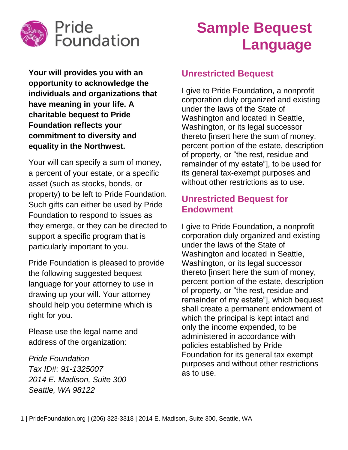

# **Sample Bequest Language**

**Your will provides you with an opportunity to acknowledge the individuals and organizations that have meaning in your life. A charitable bequest to Pride Foundation reflects your commitment to diversity and equality in the Northwest.**

Your will can specify a sum of money, a percent of your estate, or a specific asset (such as stocks, bonds, or property) to be left to Pride Foundation. Such gifts can either be used by Pride Foundation to respond to issues as they emerge, or they can be directed to support a specific program that is particularly important to you.

Pride Foundation is pleased to provide the following suggested bequest language for your attorney to use in drawing up your will. Your attorney should help you determine which is right for you.

Please use the legal name and address of the organization:

*Pride Foundation Tax ID#: 91-1325007 2014 E. Madison, Suite 300 Seattle, WA 98122*

## **Unrestricted Bequest**

I give to Pride Foundation, a nonprofit corporation duly organized and existing under the laws of the State of Washington and located in Seattle, Washington, or its legal successor thereto [insert here the sum of money, percent portion of the estate, description of property, or "the rest, residue and remainder of my estate"], to be used for its general tax-exempt purposes and without other restrictions as to use.

## **Unrestricted Bequest for Endowment**

I give to Pride Foundation, a nonprofit corporation duly organized and existing under the laws of the State of Washington and located in Seattle, Washington, or its legal successor thereto [insert here the sum of money, percent portion of the estate, description of property, or "the rest, residue and remainder of my estate"], which bequest shall create a permanent endowment of which the principal is kept intact and only the income expended, to be administered in accordance with policies established by Pride Foundation for its general tax exempt purposes and without other restrictions as to use.